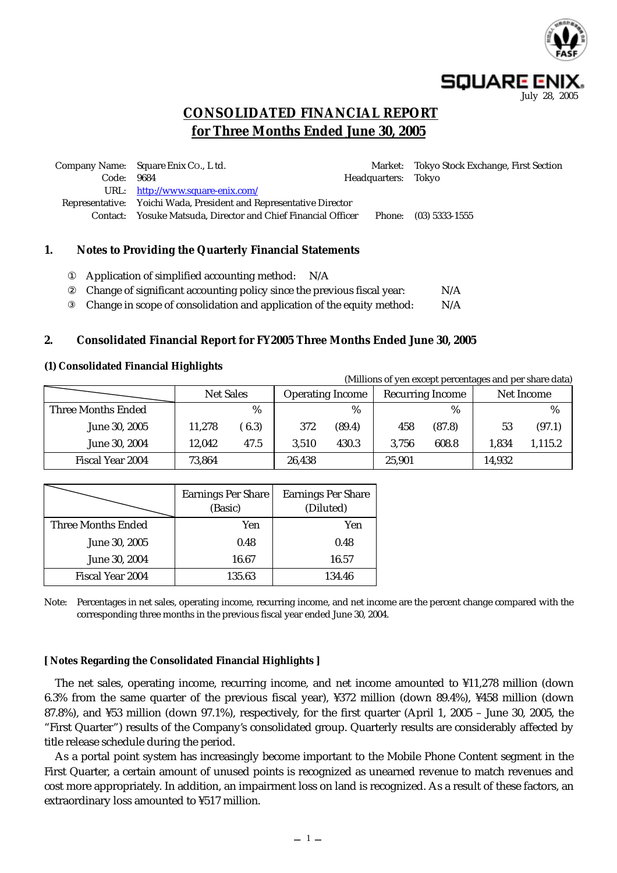

(Millions of yen except percentages and per share data)

**CONSOLIDATED FINANCIAL REPORT for Three Months Ended June 30, 2005**

|       | Company Name: Square Enix Co., L td.                               |                     | Market: Tokyo Stock Exchange, First Section |
|-------|--------------------------------------------------------------------|---------------------|---------------------------------------------|
| Code: | 9684                                                               | Headquarters: Tokyo |                                             |
|       | URL: http://www.square-enix.com/                                   |                     |                                             |
|       | Representative: Yoichi Wada, President and Representative Director |                     |                                             |
|       | Contact: Yosuke Matsuda, Director and Chief Financial Officer      | Phone:              | $(03)$ 5333-1555                            |
|       |                                                                    |                     |                                             |

#### **1. Notes to Providing the Quarterly Financial Statements**

| Application of simplified accounting method:<br>N/A                     |     |
|-------------------------------------------------------------------------|-----|
| Change of significant accounting policy since the previous fiscal year: | N/A |
| Change in scope of consolidation and application of the equity method:  | N/A |

#### **2. Consolidated Financial Report for FY2005 Three Months Ended June 30, 2005**

#### **(1) Consolidated Financial Highlights**

| (Millions of yen except percentages and per share data) |                  |      |                         |        |                         |               |            |         |  |
|---------------------------------------------------------|------------------|------|-------------------------|--------|-------------------------|---------------|------------|---------|--|
|                                                         | <b>Net Sales</b> |      | <b>Operating Income</b> |        | <b>Recurring Income</b> |               | Net Income |         |  |
| Three Months Ended                                      |                  | %    |                         | $\%$   |                         | $\frac{0}{0}$ |            | %       |  |
| June 30, 2005                                           | 11,278           | 6.3) | 372                     | (89.4) | 458                     | (87.8)        | 53         | (97.1)  |  |
| June 30, 2004                                           | 12.042           | 47.5 | 3.510                   | 430.3  | 3.756                   | 608.8         | 1.834      | 1,115.2 |  |
| Fiscal Year 2004                                        | 73,864           |      | 26,438                  |        | 25,901                  |               | 14,932     |         |  |

|                           | <b>Earnings Per Share</b><br>(Basic) | <b>Earnings Per Share</b><br>(Diluted) |
|---------------------------|--------------------------------------|----------------------------------------|
| <b>Three Months Ended</b> | Yen                                  | Yen                                    |
| June 30, 2005             | 0.48                                 | 0.48                                   |
| June 30, 2004             | 16.67                                | 16.57                                  |
| Fiscal Year 2004          | 135.63                               | 134.46                                 |

Note: Percentages in net sales, operating income, recurring income, and net income are the percent change compared with the corresponding three months in the previous fiscal year ended June 30, 2004.

#### **[ Notes Regarding the Consolidated Financial Highlights ]**

The net sales, operating income, recurring income, and net income amounted to ¥11,278 million (down 6.3% from the same quarter of the previous fiscal year), ¥372 million (down 89.4%), ¥458 million (down 87.8%), and ¥53 million (down 97.1%), respectively, for the first quarter (April 1, 2005 – June 30, 2005, the "First Quarter") results of the Company's consolidated group. Quarterly results are considerably affected by title release schedule during the period.

As a portal point system has increasingly become important to the Mobile Phone Content segment in the First Quarter, a certain amount of unused points is recognized as unearned revenue to match revenues and cost more appropriately. In addition, an impairment loss on land is recognized. As a result of these factors, an extraordinary loss amounted to ¥517 million.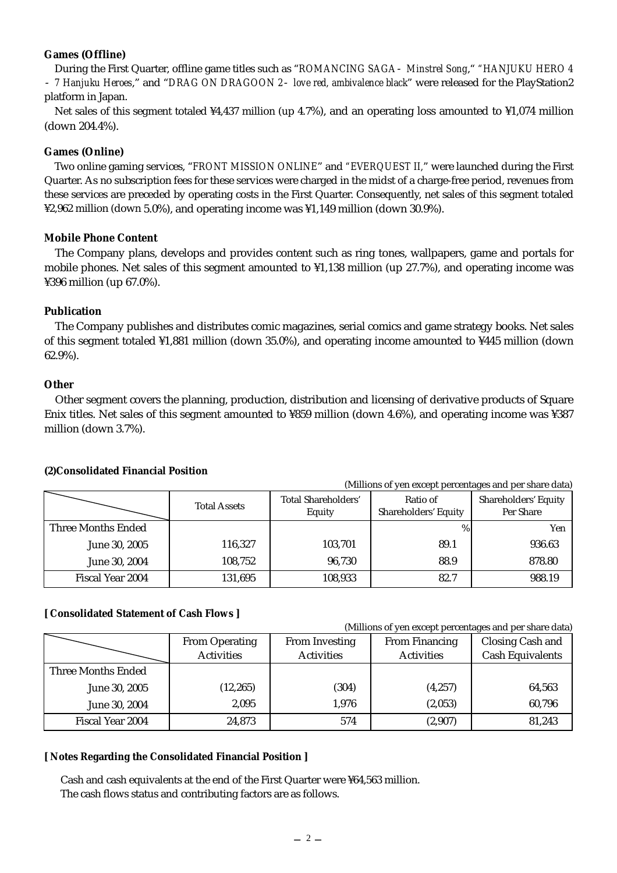### **Games (Offline)**

During the First Quarter, offline game titles such as "*ROMANCING SAGA Minstrel Song*," *"HANJUKU HERO 4 7 Hanjuku Heroes*," and "*DRAG ON DRAGOON 2 love red, ambivalence black*" were released for the PlayStation2 platform in Japan.

Net sales of this segment totaled ¥4,437 million (up 4.7%), and an operating loss amounted to ¥1,074 million (down 204.4%).

#### **Games (Online)**

Two online gaming services, "*FRONT MISSION ONLINE*" and *"EVERQUEST II,*" were launched during the First Quarter. As no subscription fees for these services were charged in the midst of a charge-free period, revenues from these services are preceded by operating costs in the First Quarter. Consequently, net sales of this segment totaled ¥2,962 million (down 5.0%), and operating income was ¥1,149 million (down 30.9%).

#### **Mobile Phone Content**

The Company plans, develops and provides content such as ring tones, wallpapers, game and portals for mobile phones. Net sales of this segment amounted to ¥1,138 million (up 27.7%), and operating income was ¥396 million (up 67.0%).

#### **Publication**

The Company publishes and distributes comic magazines, serial comics and game strategy books. Net sales of this segment totaled ¥1,881 million (down 35.0%), and operating income amounted to ¥445 million (down 62.9%).

#### **Other**

Other segment covers the planning, production, distribution and licensing of derivative products of Square Enix titles. Net sales of this segment amounted to ¥859 million (down 4.6%), and operating income was ¥387 million (down 3.7%).

#### **(2)Consolidated Financial Position**

| (Millions of yen except percentages and per share data) |                     |                                      |                                  |                                   |  |  |  |
|---------------------------------------------------------|---------------------|--------------------------------------|----------------------------------|-----------------------------------|--|--|--|
|                                                         | <b>Total Assets</b> | <b>Total Shareholders'</b><br>Equity | Ratio of<br>Shareholders' Equity | Shareholders' Equity<br>Per Share |  |  |  |
| <b>Three Months Ended</b>                               |                     |                                      | $\%$                             | Yen                               |  |  |  |
| June 30, 2005                                           | 116,327             | 103,701                              | 89.1                             | 936.63                            |  |  |  |
| June 30, 2004                                           | 108,752             | 96,730                               | 88.9                             | 878.80                            |  |  |  |
| Fiscal Year 2004                                        | 131,695             | 108,933                              | 82.7                             | 988.19                            |  |  |  |

#### **[ Consolidated Statement of Cash Flows ]**

(Millions of yen except percentages and per share data)

|                    | <b>From Operating</b><br><b>Activities</b> | From Investing<br><b>Activities</b> | From Financing<br><b>Activities</b> | Closing Cash and<br><b>Cash Equivalents</b> |  |
|--------------------|--------------------------------------------|-------------------------------------|-------------------------------------|---------------------------------------------|--|
| Three Months Ended |                                            |                                     |                                     |                                             |  |
| June 30, 2005      | (12, 265)                                  | (304)                               | (4, 257)                            | 64,563                                      |  |
| June 30, 2004      | 2.095                                      | 1,976                               | (2,053)                             | 60,796                                      |  |
| Fiscal Year 2004   | 24,873                                     | 574                                 | (2,907)                             | 81,243                                      |  |

#### **[ Notes Regarding the Consolidated Financial Position ]**

Cash and cash equivalents at the end of the First Quarter were ¥64,563 million. The cash flows status and contributing factors are as follows.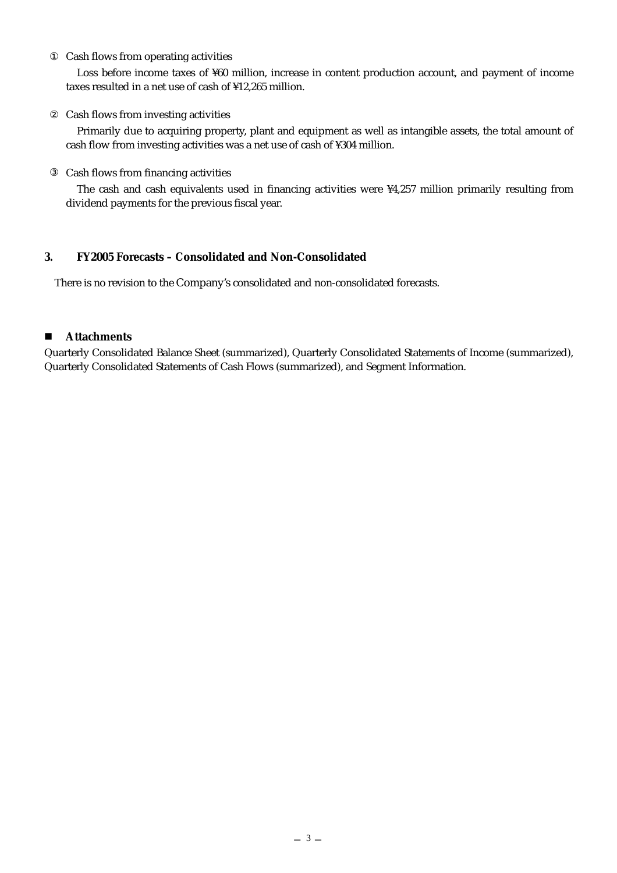#### Cash flows from operating activities

Loss before income taxes of ¥60 million, increase in content production account, and payment of income taxes resulted in a net use of cash of ¥12,265 million.

#### Cash flows from investing activities

Primarily due to acquiring property, plant and equipment as well as intangible assets, the total amount of cash flow from investing activities was a net use of cash of ¥304 million.

#### Cash flows from financing activities

The cash and cash equivalents used in financing activities were ¥4,257 million primarily resulting from dividend payments for the previous fiscal year.

### **3. FY2005 Forecasts – Consolidated and Non-Consolidated**

There is no revision to the Company's consolidated and non-consolidated forecasts.

### **Attachments**

Quarterly Consolidated Balance Sheet (summarized), Quarterly Consolidated Statements of Income (summarized), Quarterly Consolidated Statements of Cash Flows (summarized), and Segment Information.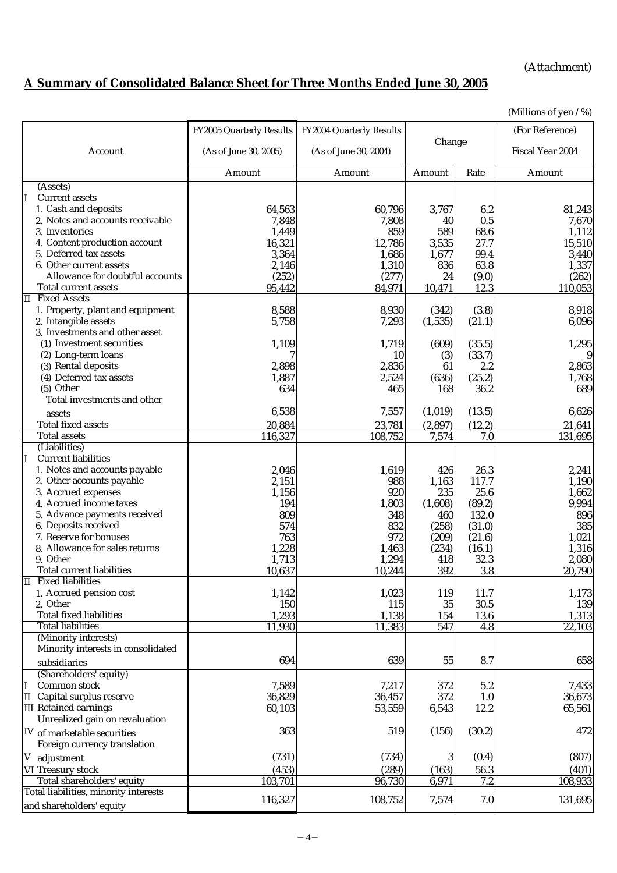## (Attachment)

# **A Summary of Consolidated Balance Sheet for Three Months Ended June 30, 2005**

(Millions of yen / %)

|                                                            | FY2005 Quarterly Results | FY2004 Quarterly Results |                |                  | (For Reference)  |
|------------------------------------------------------------|--------------------------|--------------------------|----------------|------------------|------------------|
| Account                                                    | (As of June 30, 2005)    | (As of June 30, 2004)    | Change         |                  | Fiscal Year 2004 |
|                                                            | Amount                   | Amount                   | Amount         | Rate             | Amount           |
| (Assets)                                                   |                          |                          |                |                  |                  |
| <b>Current assets</b><br>IІ                                |                          |                          |                |                  |                  |
| 1. Cash and deposits                                       | 64,563                   | 60,796                   | 3,767          | 6.2              | 81,243           |
| 2. Notes and accounts receivable                           | 7,848                    | 7,808                    | 40             | 0.5              | 7,670            |
| 3. Inventories                                             | 1,449                    | 859                      | 589            | 68.6             | 1,112            |
| 4. Content production account                              | 16,321                   | 12,786                   | 3,535          | 27.7             | 15,510           |
| 5. Deferred tax assets<br>6. Other current assets          | 3,364<br>2,146           | 1,686<br>1,310           | 1,677<br>836   | 99.4<br>63.8     | 3,440<br>1,337   |
| Allowance for doubtful accounts                            | (252)                    | (277)                    | 24             | (9.0)            | (262)            |
| <b>Total current assets</b>                                | 95,442                   | 84,971                   | 10,471         | 12.3             | 110,053          |
| II Fixed Assets                                            |                          |                          |                |                  |                  |
| 1. Property, plant and equipment                           | 8,588                    | 8,930                    | (342)          | (3.8)            | 8,918            |
| 2. Intangible assets                                       | 5,758                    | 7,293                    | (1, 535)       | (21.1)           | 6,096            |
| 3. Investments and other asset                             |                          |                          |                |                  |                  |
| (1) Investment securities                                  | 1,109                    | 1,719                    | (609)          | (35.5)           | 1,295            |
| (2) Long-term loans                                        |                          | 10                       | (3)            | (33.7)           | 9                |
| (3) Rental deposits                                        | 2,898                    | 2,836                    | 61             | 2.2              | 2,863            |
| (4) Deferred tax assets                                    | 1,887                    | 2,524                    | (636)          | (25.2)           | 1,768            |
| (5) Other                                                  | 634                      | 465                      | 168            | 36.2             | 689              |
| Total investments and other                                |                          |                          |                |                  |                  |
| assets                                                     | 6,538                    | 7,557                    | (1,019)        | (13.5)           | 6,626            |
| <b>Total fixed assets</b>                                  | 20,884                   | 23,781                   | (2,897)        | (12.2)           | 21,641           |
| <b>Total assets</b>                                        | 116,327                  | 108,752                  | 7,574          | 7.0              | 131,695          |
| (Liabilities)                                              |                          |                          |                |                  |                  |
| <b>Current liabilities</b><br>II.                          |                          |                          |                |                  |                  |
| 1. Notes and accounts payable                              | 2,046                    | 1,619                    | 426            | 26.3             | 2,241            |
| 2. Other accounts payable<br>3. Accrued expenses           | 2,151                    | 988                      | 1,163          | 117.7            | 1,190            |
| 4. Accrued income taxes                                    | 1,156<br>194             | 920<br>1,803             | 235<br>(1,608) | 25.6<br>(89.2)   | 1,662<br>9,994   |
| 5. Advance payments received                               | 809                      | 348                      | 460            | 132.0            | 896              |
| 6. Deposits received                                       | 574                      | 832                      | (258)          | (31.0)           | 385              |
| 7. Reserve for bonuses                                     | 763                      | 972                      | (209)          | (21.6)           | 1,021            |
| 8. Allowance for sales returns                             | 1,228                    | 1,463                    | (234)          | (16.1)           | 1,316            |
| 9. Other                                                   | 1,713                    | 1,294                    | 418            | 32.3             | 2,080            |
| <b>Total current liabilities</b>                           | 10,637                   | 10,244                   | 392            | 3.8              | 20,790           |
| <b>II</b> Fixed liabilities                                |                          |                          |                |                  |                  |
| 1. Accrued pension cost                                    | 1,142                    | 1,023                    | 119            | 11.7             | 1,173            |
| 2. Other                                                   | 150                      | 115                      | 35             | 30.5             | 139              |
| <b>Total fixed liabilities</b>                             | 1,293                    | 1,138                    | 154            | 13.6             | 1,313            |
| <b>Total liabilities</b>                                   | 11,930                   | 11,383                   | 547            | $\overline{4.8}$ | 22,103           |
| (Minority interests)<br>Minority interests in consolidated |                          |                          |                |                  |                  |
|                                                            | 694                      | 639                      | 55             | 8.7              | 658              |
| subsidiaries<br>(Shareholders' equity)                     |                          |                          |                |                  |                  |
| Common stock<br>II.                                        | 7,589                    | 7,217                    | 372            | 5.2              | 7,433            |
| II Capital surplus reserve                                 | 36,829                   | 36,457                   | 372            | 1.0              | 36,673           |
| <b>III</b> Retained earnings                               | 60,103                   | 53,559                   | 6,543          | 12.2             | 65,561           |
| Unrealized gain on revaluation                             |                          |                          |                |                  |                  |
| IV of marketable securities                                | 363                      | 519                      | (156)          | (30.2)           | 472              |
| Foreign currency translation                               |                          |                          |                |                  |                  |
|                                                            | (731)                    | (734)                    | 3              | (0.4)            | (807)            |
| V adjustment                                               |                          |                          |                |                  |                  |
| VI Treasury stock<br>Total shareholders' equity            | (453)<br>103,701         | (289)<br>96,730          | (163)<br>6,971 | 56.3<br>7.2      | (401)<br>108,933 |
| Total liabilities, minority interests                      |                          |                          |                |                  |                  |
| and shareholders' equity                                   | 116,327                  | 108,752                  | 7,574          | 7.0              | 131,695          |
|                                                            |                          |                          |                |                  |                  |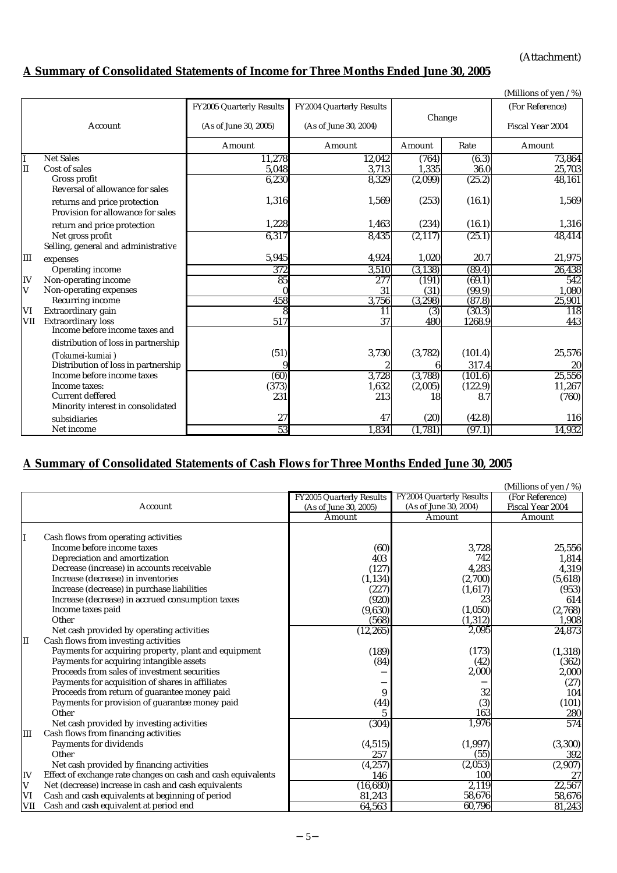(Attachment)

# **A Summary of Consolidated Statements of Income for Three Months Ended June 30, 2005**

|     |                                     |                          |                          |          |         | (Millions of yen / %) |
|-----|-------------------------------------|--------------------------|--------------------------|----------|---------|-----------------------|
|     |                                     | FY2005 Quarterly Results | FY2004 Quarterly Results |          |         | (For Reference)       |
|     | Account                             |                          |                          | Change   |         |                       |
|     |                                     | (As of June 30, 2005)    | (As of June 30, 2004)    |          |         | Fiscal Year 2004      |
|     |                                     | Amount                   | Amount                   | Amount   | Rate    | Amount                |
| T   | <b>Net Sales</b>                    | 11,278                   | 12,042                   | (764)    | (6.3)   | 73,864                |
| II  | Cost of sales                       | 5,048                    | 3,713                    | 1,335    | 36.0    | 25,703                |
|     | Gross profit                        | 6,230                    | 8,329                    | (2,099)  | (25.2)  | 48,161                |
|     | Reversal of allowance for sales     |                          |                          |          |         |                       |
|     | returns and price protection        | 1,316                    | 1,569                    | (253)    | (16.1)  | 1,569                 |
|     | Provision for allowance for sales   |                          |                          |          |         |                       |
|     | return and price protection         | 1,228                    | 1,463                    | (234)    | (16.1)  | 1,316                 |
|     | Net gross profit                    | 6,317                    | 8,435                    | (2,117)  | (25.1)  | 48,414                |
|     | Selling, general and administrative |                          |                          |          |         |                       |
| Ш   | expenses                            | 5,945                    | 4,924                    | 1,020    | 20.7    | 21,975                |
|     | <b>Operating income</b>             | 372                      | 3,510                    | (3, 138) | (89.4)  | 26,438                |
| IV  | Non-operating income                | 85                       | 277                      | (191)    | (69.1)  | 542                   |
| V   | Non-operating expenses              | $\bf{0}$                 | 31                       | (31)     | (99.9)  | 1,080                 |
|     | Recurring income                    | 458                      | 3,756                    | (3, 298) | (87.8)  | 25,901                |
| VI  | Extraordinary gain                  | 8                        | 11                       | (3)      | (30.3)  | 118                   |
| VII | <b>Extraordinary loss</b>           | 517                      | 37                       | 480      | 1268.9  | 443                   |
|     | Income before income taxes and      |                          |                          |          |         |                       |
|     | distribution of loss in partnership |                          |                          |          |         |                       |
|     | (Tokumei-kumiai)                    | (51)                     | 3,730                    | (3,782)  | (101.4) | 25,576                |
|     | Distribution of loss in partnership | 9                        |                          |          | 317.4   | 20                    |
|     | Income before income taxes          | $\overline{(60)}$        | 3,728                    | (3,788)  | (101.6) | 25,556                |
|     | Income taxes:                       | (373)                    | 1,632                    | (2,005)  | (122.9) | 11,267                |
|     | Current deffered                    | 231                      | 213                      | 18       | 8.7     | (760)                 |
|     | Minority interest in consolidated   |                          |                          |          |         |                       |
|     | subsidiaries                        | 27                       | 47                       | (20)     | (42.8)  | 116                   |
|     | Net income                          | 53                       | 1,834                    | (1,781)  | (97.1)  | 14,932                |

## **A Summary of Consolidated Statements of Cash Flows for Three Months Ended June 30, 2005**

|             |                                                              |                          |                          | (Millions of yen / %) |
|-------------|--------------------------------------------------------------|--------------------------|--------------------------|-----------------------|
|             |                                                              | FY2005 Quarterly Results | FY2004 Quarterly Results | (For Reference)       |
|             | Account                                                      | (As of June 30, 2005)    | (As of June 30, 2004)    | Fiscal Year 2004      |
|             |                                                              | Amount                   | Amount                   | Amount                |
|             |                                                              |                          |                          |                       |
| II          | Cash flows from operating activities                         |                          |                          |                       |
|             | Income before income taxes                                   | (60)                     | 3,728                    | 25,556                |
|             | Depreciation and amortization                                | 403                      | 742                      | 1,814                 |
|             | Decrease (increase) in accounts receivable                   | (127)                    | 4,283                    | 4,319                 |
|             | Increase (decrease) in inventories                           | (1, 134)                 | (2,700)                  | (5,618)               |
|             | Increase (decrease) in purchase liabilities                  | (227)                    | (1,617)                  | (953)                 |
|             | Increase (decrease) in accrued consumption taxes             | (920)                    | 23                       | 614                   |
|             | Income taxes paid                                            | (9,630)                  | (1,050)                  | (2,768)               |
|             | Other                                                        | (568)                    | (1,312)                  | 1,908                 |
|             | Net cash provided by operating activities                    | (12, 265)                | 2,095                    | 24,873                |
| II          | Cash flows from investing activities                         |                          |                          |                       |
|             | Payments for acquiring property, plant and equipment         | (189)                    | (173)                    | (1, 318)              |
|             | Payments for acquiring intangible assets                     | (84)                     | (42)                     | (362)                 |
|             | Proceeds from sales of investment securities                 |                          | 2,000                    | 2,000                 |
|             | Payments for acquisition of shares in affiliates             |                          |                          | (27)                  |
|             | Proceeds from return of guarantee money paid                 | 9                        | 32                       | <b>104</b>            |
|             | Payments for provision of guarantee money paid               | (44)                     | (3)                      | (101)                 |
|             | Other                                                        | 5                        | 163                      | 280                   |
|             | Net cash provided by investing activities                    | (304)                    | 1,976                    | 574                   |
| Ш           | Cash flows from financing activities                         |                          |                          |                       |
|             | Payments for dividends                                       | (4, 515)                 | (1, 997)                 | (3, 300)              |
|             | Other                                                        | 257                      | (55)                     | 392                   |
|             | Net cash provided by financing activities                    | (4, 257)                 | (2,053)                  | (2,907)               |
| IV          | Effect of exchange rate changes on cash and cash equivalents | 146                      | 100                      | 27                    |
| $\mathbf V$ | Net (decrease) increase in cash and cash equivalents         | (16, 680)                | 2,119                    | 22,567                |
| VI          | Cash and cash equivalents at beginning of period             | 81,243                   | 58,676                   | 58,676                |
| <b>VII</b>  | Cash and cash equivalent at period end                       | 64,563                   | 60,796                   | 81,243                |
|             |                                                              |                          |                          |                       |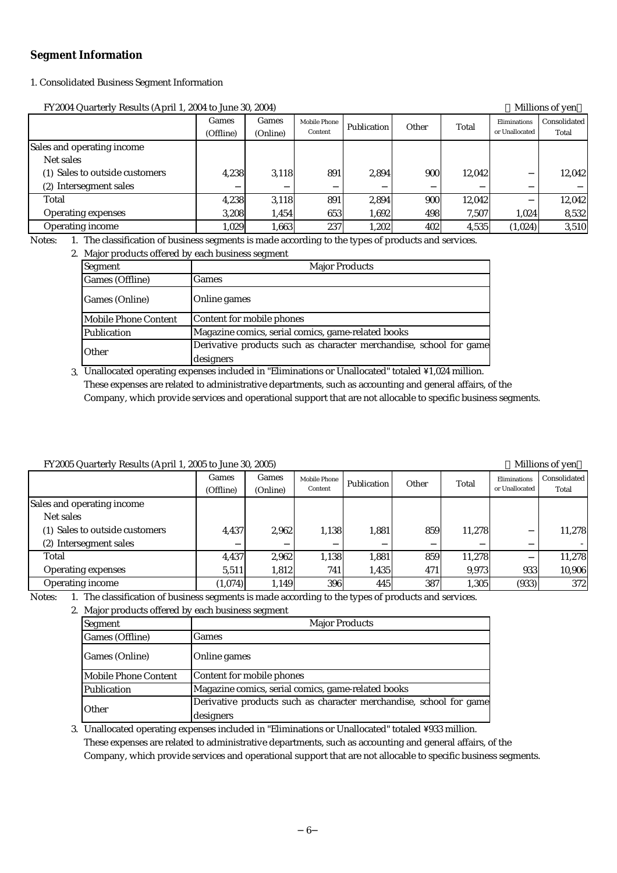#### **Segment Information**

#### 1. Consolidated Business Segment Information

FY2004 Quarterly Results (April 1, 2004 to June 30, 2004) Millions of yen

| $\frac{1}{2}$ and $\frac{1}{2}$ and $\frac{1}{2}$ are set to set the set of $\frac{1}{2}$ and $\frac{1}{2}$ are set of $\frac{1}{2}$ and $\frac{1}{2}$ are set of $\frac{1}{2}$ and $\frac{1}{2}$ are set of $\frac{1}{2}$ and $\frac{1}{2}$ are set of $\frac{1}{2}$ and $\frac$ |                    |                   |                         |             |       |        |                                |                         |
|-----------------------------------------------------------------------------------------------------------------------------------------------------------------------------------------------------------------------------------------------------------------------------------|--------------------|-------------------|-------------------------|-------------|-------|--------|--------------------------------|-------------------------|
|                                                                                                                                                                                                                                                                                   | Games<br>(Offline) | Games<br>(Online) | Mobile Phone<br>Content | Publication | Other | Total  | Eliminations<br>or Unallocated | Consolidated  <br>Total |
| Sales and operating income                                                                                                                                                                                                                                                        |                    |                   |                         |             |       |        |                                |                         |
| Net sales                                                                                                                                                                                                                                                                         |                    |                   |                         |             |       |        |                                |                         |
| (1) Sales to outside customers                                                                                                                                                                                                                                                    | 4.238              | 3,118             | 891                     | 2.894       | 900l  | 12.042 |                                | 12.042                  |
| Intersegment sales<br>(2)                                                                                                                                                                                                                                                         |                    |                   |                         |             |       |        |                                |                         |
| Total                                                                                                                                                                                                                                                                             | 4,238              | 3,118             | 8911                    | 2.894       | 900l  | 12.042 |                                | 12,042                  |
| <b>Operating expenses</b>                                                                                                                                                                                                                                                         | 3.208              | 1.454             | 653                     | 1,692       | 498   | 7.507  | 1.024                          | 8,532                   |
| <b>Operating income</b>                                                                                                                                                                                                                                                           | 1,029              | 1.663             | 237                     | 1,202       | 402   | 4,535  | (1,024)                        | 3,510                   |

Notes: 1. The classification of business segments is made according to the types of products and services.

#### 2. Major products offered by each business segment

| Segment              | <b>Major Products</b>                                                           |
|----------------------|---------------------------------------------------------------------------------|
| Games (Offline)      | Games                                                                           |
| Games (Online)       | Online games                                                                    |
| Mobile Phone Content | Content for mobile phones                                                       |
| Publication          | Magazine comics, serial comics, game-related books                              |
| Other                | Derivative products such as character merchandise, school for game<br>designers |

3. Unallocated operating expenses included in "Eliminations or Unallocated" totaled \1,024 million. Company, which provide services and operational support that are not allocable to specific business segments. These expenses are related to administrative departments, such as accounting and general affairs, of the

#### FY2005 Quarterly Results (April 1, 2005 to June 30, 2005) Millions of yen

| $\frac{1}{2}$ and $\frac{1}{2}$ and $\frac{1}{2}$ are the state $\frac{1}{2}$ and $\frac{1}{2}$ are the state of $\frac{1}{2}$ and $\frac{1}{2}$ |                    |                   |                         |             |       |        |                                |                       |
|--------------------------------------------------------------------------------------------------------------------------------------------------|--------------------|-------------------|-------------------------|-------------|-------|--------|--------------------------------|-----------------------|
|                                                                                                                                                  | Games<br>(Offline) | Games<br>(Online) | Mobile Phone<br>Content | Publication | Other | Total  | Eliminations<br>or Unallocated | Consolidated<br>Total |
| Sales and operating income                                                                                                                       |                    |                   |                         |             |       |        |                                |                       |
| Net sales                                                                                                                                        |                    |                   |                         |             |       |        |                                |                       |
| (1) Sales to outside customers                                                                                                                   | 4,437              | 2.962             | 1.138                   | 1,881       | 859   | 11,278 |                                | 11,278                |
| (2) Intersegment sales                                                                                                                           |                    |                   |                         |             |       |        |                                |                       |
| Total                                                                                                                                            | 4,437              | 2,962             | 1,138                   | 1,881       | 859   | 11,278 |                                | 11,278                |
| Operating expenses                                                                                                                               | 5,511              | 1,812             | <b>741</b>              | 1,435       | 471   | 9.973  | 933                            | 10,906                |
| <b>Operating income</b>                                                                                                                          | (1,074)            | 1,149             | 396                     | 445         | 387   | 1,305  | (933)                          | 372                   |

Notes: 1. The classification of business segments is made according to the types of products and services.

2. Major products offered by each business segment

| Segment              | <b>Major Products</b>                                              |  |  |  |  |  |
|----------------------|--------------------------------------------------------------------|--|--|--|--|--|
| Games (Offline)      | Games                                                              |  |  |  |  |  |
| Games (Online)       | Online games                                                       |  |  |  |  |  |
| Mobile Phone Content | Content for mobile phones                                          |  |  |  |  |  |
| Publication          | Magazine comics, serial comics, game-related books                 |  |  |  |  |  |
| Other                | Derivative products such as character merchandise, school for game |  |  |  |  |  |
|                      | designers                                                          |  |  |  |  |  |

3. Unallocated operating expenses included in "Eliminations or Unallocated" totaled \933 million. These expenses are related to administrative departments, such as accounting and general affairs, of the Company, which provide services and operational support that are not allocable to specific business segments.